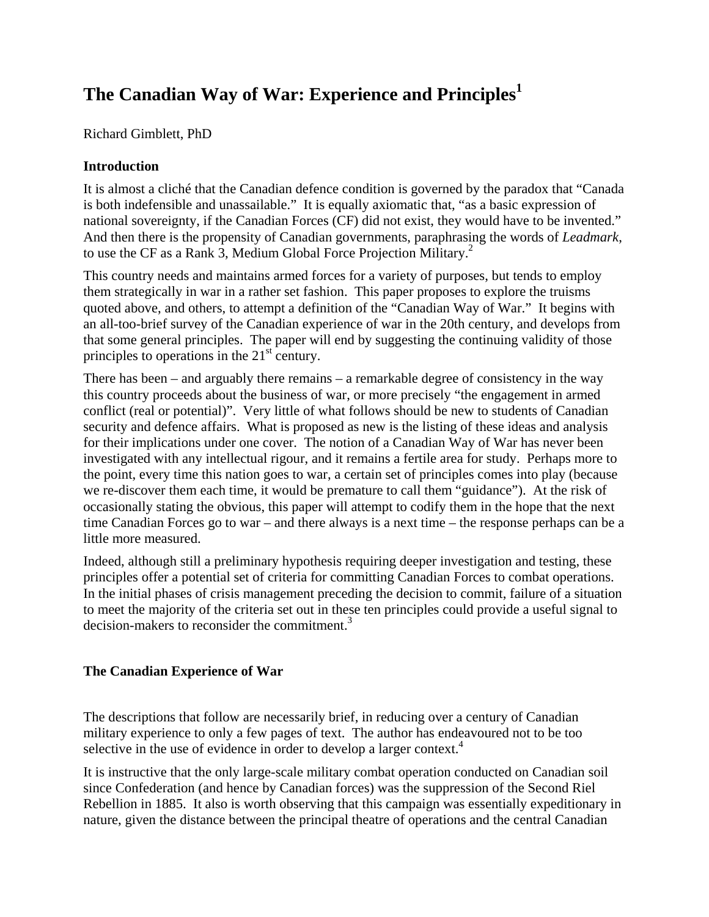# **The Canadian Way of War: Experience and Principles[1](#page-8-0)**

Richard Gimblett, PhD

## **Introduction**

It is almost a cliché that the Canadian defence condition is governed by the paradox that "Canada is both indefensible and unassailable." It is equally axiomatic that, "as a basic expression of national sovereignty, if the Canadian Forces (CF) did not exist, they would have to be invented." And then there is the propensity of Canadian governments, paraphrasing the words of *Leadmark*, to use the CF as a Rank 3, Medium Global Force Projection Military.<sup>[2](#page-8-1)</sup>

This country needs and maintains armed forces for a variety of purposes, but tends to employ them strategically in war in a rather set fashion. This paper proposes to explore the truisms quoted above, and others, to attempt a definition of the "Canadian Way of War." It begins with an all-too-brief survey of the Canadian experience of war in the 20th century, and develops from that some general principles. The paper will end by suggesting the continuing validity of those principles to operations in the  $21<sup>st</sup>$  century.

There has been – and arguably there remains – a remarkable degree of consistency in the way this country proceeds about the business of war, or more precisely "the engagement in armed conflict (real or potential)". Very little of what follows should be new to students of Canadian security and defence affairs. What is proposed as new is the listing of these ideas and analysis for their implications under one cover. The notion of a Canadian Way of War has never been investigated with any intellectual rigour, and it remains a fertile area for study. Perhaps more to the point, every time this nation goes to war, a certain set of principles comes into play (because we re-discover them each time, it would be premature to call them "guidance"). At the risk of occasionally stating the obvious, this paper will attempt to codify them in the hope that the next time Canadian Forces go to war – and there always is a next time – the response perhaps can be a little more measured.

Indeed, although still a preliminary hypothesis requiring deeper investigation and testing, these principles offer a potential set of criteria for committing Canadian Forces to combat operations. In the initial phases of crisis management preceding the decision to commit, failure of a situation to meet the majority of the criteria set out in these ten principles could provide a useful signal to decision-makers to reconsider the commitment.<sup>[3](#page-8-2)</sup>

## **The Canadian Experience of War**

The descriptions that follow are necessarily brief, in reducing over a century of Canadian military experience to only a few pages of text. The author has endeavoured not to be too selective in the use of evidence in order to develop a larger context.<sup>4</sup>

It is instructive that the only large-scale military combat operation conducted on Canadian soil since Confederation (and hence by Canadian forces) was the suppression of the Second Riel Rebellion in 1885. It also is worth observing that this campaign was essentially expeditionary in nature, given the distance between the principal theatre of operations and the central Canadian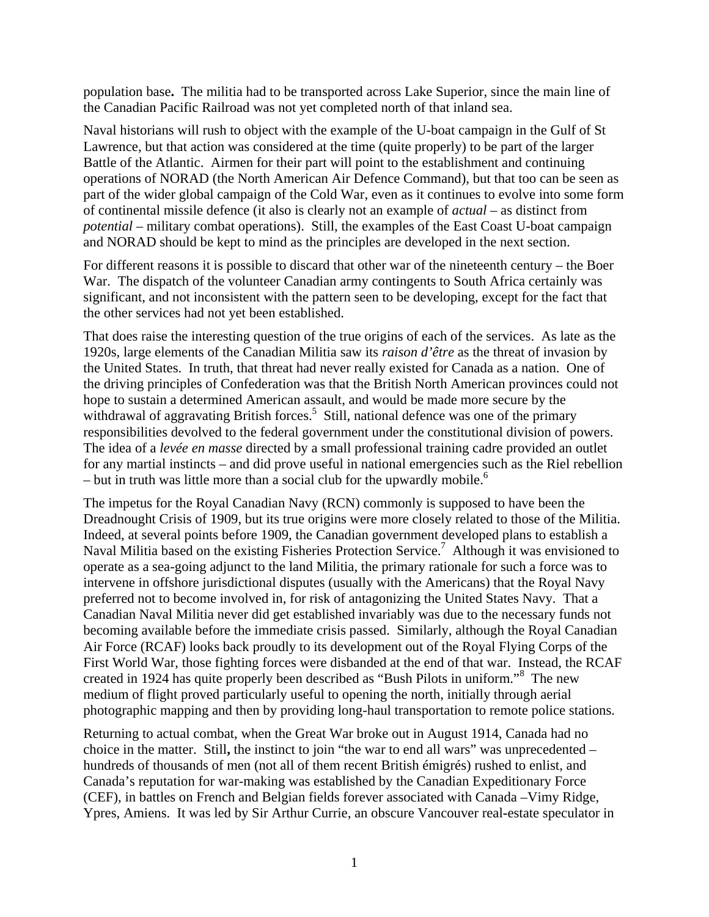population base**.** The militia had to be transported across Lake Superior, since the main line of the Canadian Pacific Railroad was not yet completed north of that inland sea.

Naval historians will rush to object with the example of the U-boat campaign in the Gulf of St Lawrence, but that action was considered at the time (quite properly) to be part of the larger Battle of the Atlantic. Airmen for their part will point to the establishment and continuing operations of NORAD (the North American Air Defence Command), but that too can be seen as part of the wider global campaign of the Cold War, even as it continues to evolve into some form of continental missile defence (it also is clearly not an example of *actual* – as distinct from *potential* – military combat operations). Still, the examples of the East Coast U-boat campaign and NORAD should be kept to mind as the principles are developed in the next section.

For different reasons it is possible to discard that other war of the nineteenth century – the Boer War. The dispatch of the volunteer Canadian army contingents to South Africa certainly was significant, and not inconsistent with the pattern seen to be developing, except for the fact that the other services had not yet been established.

That does raise the interesting question of the true origins of each of the services. As late as the 1920s, large elements of the Canadian Militia saw its *raison d'être* as the threat of invasion by the United States. In truth, that threat had never really existed for Canada as a nation. One of the driving principles of Confederation was that the British North American provinces could not hope to sustain a determined American assault, and would be made more secure by the withdrawal of aggravating British forces.<sup>[5](#page-8-4)</sup> Still, national defence was one of the primary responsibilities devolved to the federal government under the constitutional division of powers. The idea of a *levée en masse* directed by a small professional training cadre provided an outlet for any martial instincts – and did prove useful in national emergencies such as the Riel rebellion – but in truth was little more than a social club for the upwardly mobile.<sup>[6](#page-8-5)</sup>

The impetus for the Royal Canadian Navy (RCN) commonly is supposed to have been the Dreadnought Crisis of 1909, but its true origins were more closely related to those of the Militia. Indeed, at several points before 1909, the Canadian government developed plans to establish a Naval Militia based on the existing Fisheries Protection Service.<sup>7</sup> Although it was envisioned to operate as a sea-going adjunct to the land Militia, the primary rationale for such a force was to intervene in offshore jurisdictional disputes (usually with the Americans) that the Royal Navy preferred not to become involved in, for risk of antagonizing the United States Navy. That a Canadian Naval Militia never did get established invariably was due to the necessary funds not becoming available before the immediate crisis passed. Similarly, although the Royal Canadian Air Force (RCAF) looks back proudly to its development out of the Royal Flying Corps of the First World War, those fighting forces were disbanded at the end of that war. Instead, the RCAF created in 1924 has quite properly been described as "Bush Pilots in uniform."[8](#page-8-7) The new medium of flight proved particularly useful to opening the north, initially through aerial photographic mapping and then by providing long-haul transportation to remote police stations.

Returning to actual combat, when the Great War broke out in August 1914, Canada had no choice in the matter. Still**,** the instinct to join "the war to end all wars" was unprecedented – hundreds of thousands of men (not all of them recent British émigrés) rushed to enlist, and Canada's reputation for war-making was established by the Canadian Expeditionary Force (CEF), in battles on French and Belgian fields forever associated with Canada –Vimy Ridge, Ypres, Amiens. It was led by Sir Arthur Currie, an obscure Vancouver real**-**estate speculator in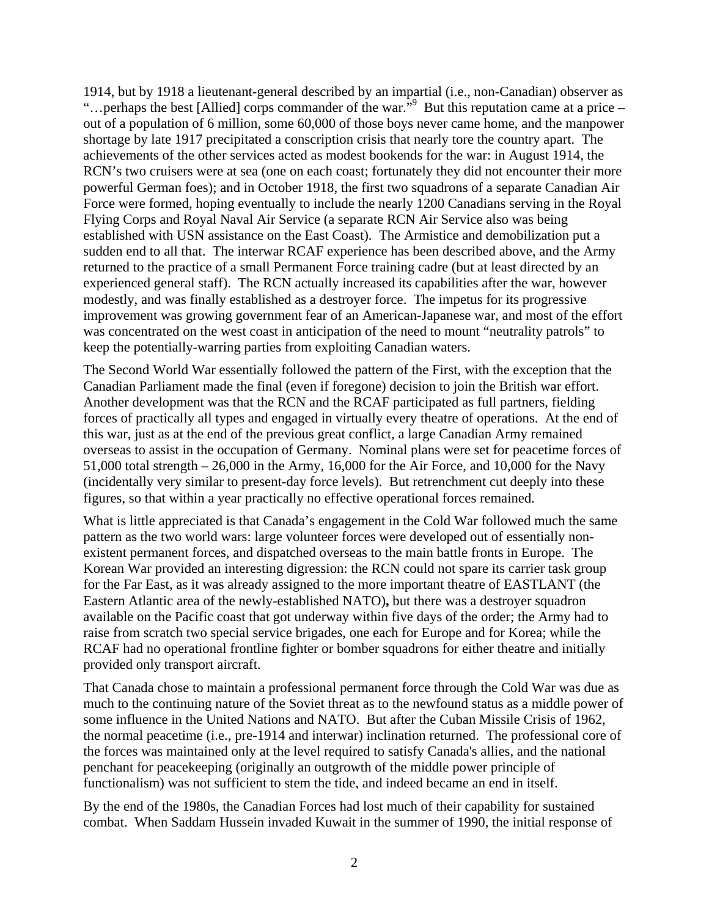1914, but by 1918 a lieutenant-general described by an impartial (i.e., non-Canadian) observer as "... perhaps the best [Allied] corps commander of the war." But this reputation came at a price  $$ out of a population of 6 million, some 60,000 of those boys never came home, and the manpower shortage by late 1917 precipitated a conscription crisis that nearly tore the country apart. The achievements of the other services acted as modest bookends for the war: in August 1914, the RCN's two cruisers were at sea (one on each coast; fortunately they did not encounter their more powerful German foes); and in October 1918, the first two squadrons of a separate Canadian Air Force were formed, hoping eventually to include the nearly 1200 Canadians serving in the Royal Flying Corps and Royal Naval Air Service (a separate RCN Air Service also was being established with USN assistance on the East Coast). The Armistice and demobilization put a sudden end to all that. The interwar RCAF experience has been described above, and the Army returned to the practice of a small Permanent Force training cadre (but at least directed by an experienced general staff). The RCN actually increased its capabilities after the war, however modestly, and was finally established as a destroyer force. The impetus for its progressive improvement was growing government fear of an American-Japanese war, and most of the effort was concentrated on the west coast in anticipation of the need to mount "neutrality patrols" to keep the potentially-warring parties from exploiting Canadian waters.

The Second World War essentially followed the pattern of the First, with the exception that the Canadian Parliament made the final (even if foregone) decision to join the British war effort. Another development was that the RCN and the RCAF participated as full partners, fielding forces of practically all types and engaged in virtually every theatre of operations. At the end of this war, just as at the end of the previous great conflict, a large Canadian Army remained overseas to assist in the occupation of Germany. Nominal plans were set for peacetime forces of 51,000 total strength – 26,000 in the Army, 16,000 for the Air Force, and 10,000 for the Navy (incidentally very similar to present-day force levels). But retrenchment cut deeply into these figures, so that within a year practically no effective operational forces remained.

What is little appreciated is that Canada's engagement in the Cold War followed much the same pattern as the two world wars: large volunteer forces were developed out of essentially nonexistent permanent forces, and dispatched overseas to the main battle fronts in Europe. The Korean War provided an interesting digression: the RCN could not spare its carrier task group for the Far East, as it was already assigned to the more important theatre of EASTLANT (the Eastern Atlantic area of the newly-established NATO)**,** but there was a destroyer squadron available on the Pacific coast that got underway within five days of the order; the Army had to raise from scratch two special service brigades, one each for Europe and for Korea; while the RCAF had no operational frontline fighter or bomber squadrons for either theatre and initially provided only transport aircraft.

That Canada chose to maintain a professional permanent force through the Cold War was due as much to the continuing nature of the Soviet threat as to the newfound status as a middle power of some influence in the United Nations and NATO. But after the Cuban Missile Crisis of 1962, the normal peacetime (i.e., pre-1914 and interwar) inclination returned. The professional core of the forces was maintained only at the level required to satisfy Canada's allies, and the national penchant for peacekeeping (originally an outgrowth of the middle power principle of functionalism) was not sufficient to stem the tide, and indeed became an end in itself.

By the end of the 1980s, the Canadian Forces had lost much of their capability for sustained combat. When Saddam Hussein invaded Kuwait in the summer of 1990, the initial response of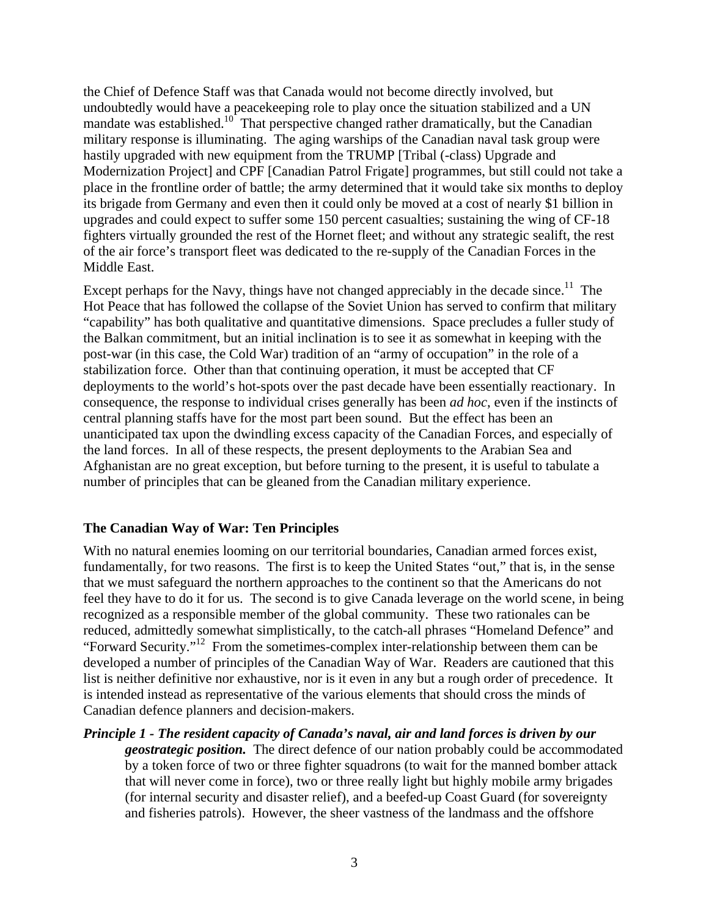the Chief of Defence Staff was that Canada would not become directly involved, but undoubtedly would have a peacekeeping role to play once the situation stabilized and a UN mandate was established.<sup>10</sup> That perspective changed rather dramatically, but the Canadian military response is illuminating. The aging warships of the Canadian naval task group were hastily upgraded with new equipment from the TRUMP [Tribal (-class) Upgrade and Modernization Project] and CPF [Canadian Patrol Frigate] programmes, but still could not take a place in the frontline order of battle; the army determined that it would take six months to deploy its brigade from Germany and even then it could only be moved at a cost of nearly \$1 billion in upgrades and could expect to suffer some 150 percent casualties; sustaining the wing of CF-18 fighters virtually grounded the rest of the Hornet fleet; and without any strategic sealift, the rest of the air force's transport fleet was dedicated to the re-supply of the Canadian Forces in the Middle East.

Except perhaps for the Navy, things have not changed appreciably in the decade since.<sup>11</sup> The Hot Peace that has followed the collapse of the Soviet Union has served to confirm that military "capability" has both qualitative and quantitative dimensions. Space precludes a fuller study of the Balkan commitment, but an initial inclination is to see it as somewhat in keeping with the post-war (in this case, the Cold War) tradition of an "army of occupation" in the role of a stabilization force. Other than that continuing operation, it must be accepted that CF deployments to the world's hot-spots over the past decade have been essentially reactionary. In consequence, the response to individual crises generally has been *ad hoc*, even if the instincts of central planning staffs have for the most part been sound. But the effect has been an unanticipated tax upon the dwindling excess capacity of the Canadian Forces, and especially of the land forces. In all of these respects, the present deployments to the Arabian Sea and Afghanistan are no great exception, but before turning to the present, it is useful to tabulate a number of principles that can be gleaned from the Canadian military experience.

### **The Canadian Way of War: Ten Principles**

With no natural enemies looming on our territorial boundaries, Canadian armed forces exist, fundamentally, for two reasons. The first is to keep the United States "out," that is, in the sense that we must safeguard the northern approaches to the continent so that the Americans do not feel they have to do it for us. The second is to give Canada leverage on the world scene, in being recognized as a responsible member of the global community. These two rationales can be reduced, admittedly somewhat simplistically, to the catch-all phrases "Homeland Defence" and "Forward Security."[12](#page-8-11) From the sometimes-complex inter-relationship between them can be developed a number of principles of the Canadian Way of War. Readers are cautioned that this list is neither definitive nor exhaustive, nor is it even in any but a rough order of precedence. It is intended instead as representative of the various elements that should cross the minds of Canadian defence planners and decision-makers.

*Principle 1 - The resident capacity of Canada's naval, air and land forces is driven by our geostrategic position.* The direct defence of our nation probably could be accommodated by a token force of two or three fighter squadrons (to wait for the manned bomber attack that will never come in force), two or three really light but highly mobile army brigades (for internal security and disaster relief), and a beefed-up Coast Guard (for sovereignty and fisheries patrols). However, the sheer vastness of the landmass and the offshore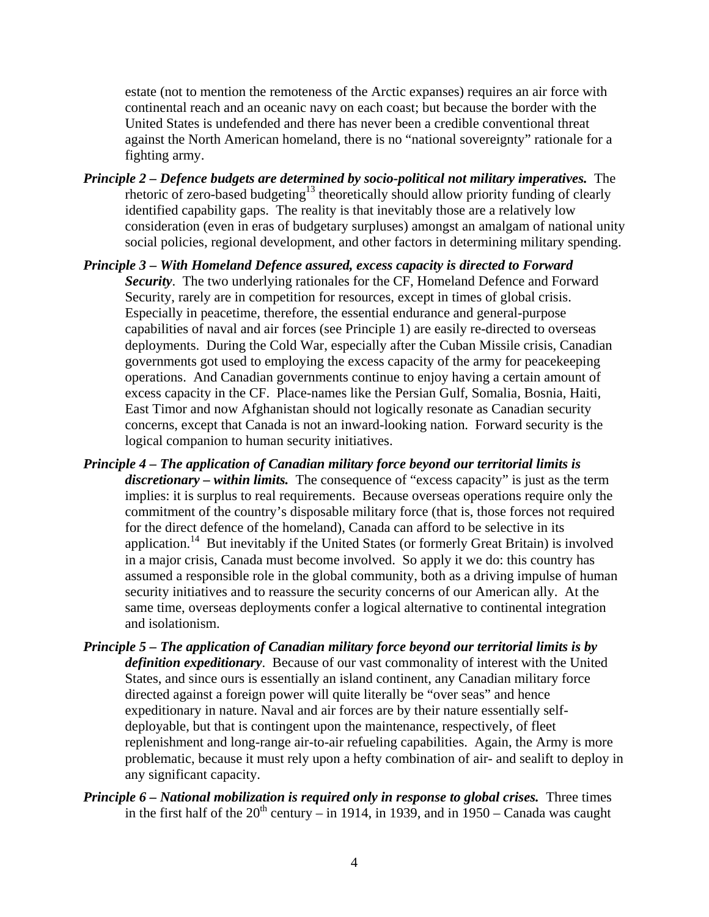estate (not to mention the remoteness of the Arctic expanses) requires an air force with continental reach and an oceanic navy on each coast; but because the border with the United States is undefended and there has never been a credible conventional threat against the North American homeland, there is no "national sovereignty" rationale for a fighting army.

- *Principle 2 Defence budgets are determined by socio-political not military imperatives.* The rhetoric of zero-based budgeting<sup>13</sup> theoretically should allow priority funding of clearly identified capability gaps. The reality is that inevitably those are a relatively low consideration (even in eras of budgetary surpluses) amongst an amalgam of national unity social policies, regional development, and other factors in determining military spending.
- *Principle 3 With Homeland Defence assured, excess capacity is directed to Forward Security*. The two underlying rationales for the CF, Homeland Defence and Forward Security, rarely are in competition for resources, except in times of global crisis. Especially in peacetime, therefore, the essential endurance and general-purpose capabilities of naval and air forces (see Principle 1) are easily re-directed to overseas deployments. During the Cold War, especially after the Cuban Missile crisis, Canadian governments got used to employing the excess capacity of the army for peacekeeping operations. And Canadian governments continue to enjoy having a certain amount of excess capacity in the CF. Place-names like the Persian Gulf, Somalia, Bosnia, Haiti, East Timor and now Afghanistan should not logically resonate as Canadian security concerns, except that Canada is not an inward-looking nation. Forward security is the logical companion to human security initiatives.
- *Principle 4 The application of Canadian military force beyond our territorial limits is discretionary – within limits.* The consequence of "excess capacity" is just as the term implies: it is surplus to real requirements. Because overseas operations require only the commitment of the country's disposable military force (that is, those forces not required for the direct defence of the homeland), Canada can afford to be selective in its application.<sup>14</sup> But inevitably if the United States (or formerly Great Britain) is involved in a major crisis, Canada must become involved. So apply it we do: this country has assumed a responsible role in the global community, both as a driving impulse of human security initiatives and to reassure the security concerns of our American ally. At the same time, overseas deployments confer a logical alternative to continental integration and isolationism.
- *Principle 5 The application of Canadian military force beyond our territorial limits is by definition expeditionary*. Because of our vast commonality of interest with the United States, and since ours is essentially an island continent, any Canadian military force directed against a foreign power will quite literally be "over seas" and hence expeditionary in nature. Naval and air forces are by their nature essentially selfdeployable, but that is contingent upon the maintenance, respectively, of fleet replenishment and long-range air-to-air refueling capabilities. Again, the Army is more problematic, because it must rely upon a hefty combination of air- and sealift to deploy in any significant capacity.
- *Principle 6 National mobilization is required only in response to global crises.* Three times in the first half of the  $20^{th}$  century – in 1914, in 1939, and in 1950 – Canada was caught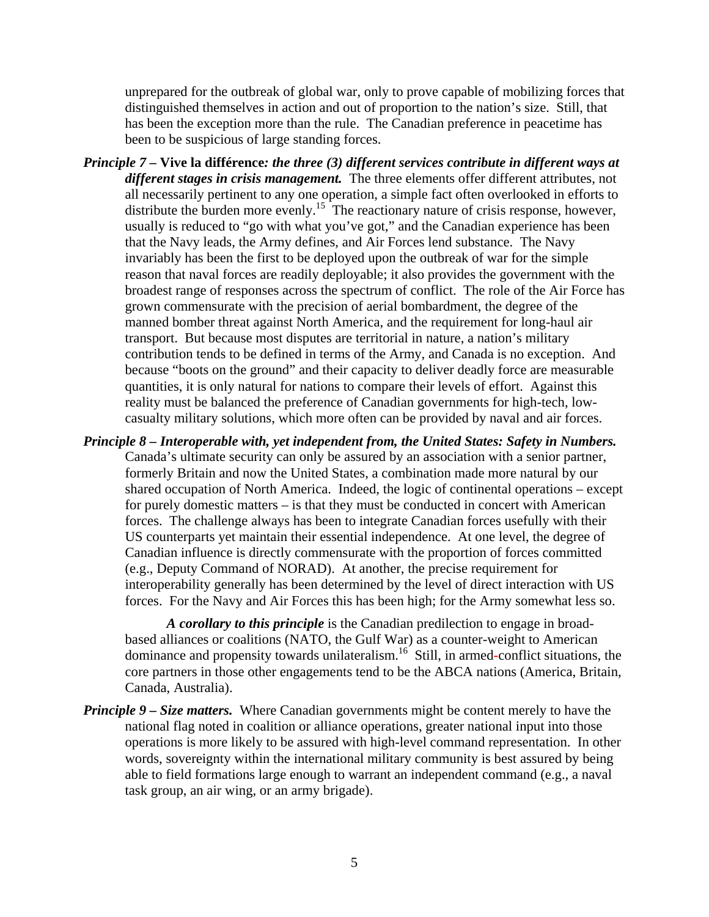unprepared for the outbreak of global war, only to prove capable of mobilizing forces that distinguished themselves in action and out of proportion to the nation's size. Still, that has been the exception more than the rule. The Canadian preference in peacetime has been to be suspicious of large standing forces.

- *Principle 7* **Vive la différence***: the three (3) different services contribute in different ways at different stages in crisis management.* The three elements offer different attributes, not all necessarily pertinent to any one operation, a simple fact often overlooked in efforts to distribute the burden more evenly.<sup>15</sup> The reactionary nature of crisis response, however, usually is reduced to "go with what you've got," and the Canadian experience has been that the Navy leads, the Army defines, and Air Forces lend substance. The Navy invariably has been the first to be deployed upon the outbreak of war for the simple reason that naval forces are readily deployable; it also provides the government with the broadest range of responses across the spectrum of conflict. The role of the Air Force has grown commensurate with the precision of aerial bombardment, the degree of the manned bomber threat against North America, and the requirement for long-haul air transport. But because most disputes are territorial in nature, a nation's military contribution tends to be defined in terms of the Army, and Canada is no exception. And because "boots on the ground" and their capacity to deliver deadly force are measurable quantities, it is only natural for nations to compare their levels of effort. Against this reality must be balanced the preference of Canadian governments for high-tech, lowcasualty military solutions, which more often can be provided by naval and air forces.
- *Principle 8 Interoperable with, yet independent from, the United States: Safety in Numbers.*

Canada's ultimate security can only be assured by an association with a senior partner, formerly Britain and now the United States, a combination made more natural by our shared occupation of North America. Indeed, the logic of continental operations – except for purely domestic matters – is that they must be conducted in concert with American forces. The challenge always has been to integrate Canadian forces usefully with their US counterparts yet maintain their essential independence. At one level, the degree of Canadian influence is directly commensurate with the proportion of forces committed (e.g., Deputy Command of NORAD). At another, the precise requirement for interoperability generally has been determined by the level of direct interaction with US forces. For the Navy and Air Forces this has been high; for the Army somewhat less so.

*A corollary to this principle* is the Canadian predilection to engage in broadbased alliances or coalitions (NATO, the Gulf War) as a counter-weight to American dominance and propensity towards unilateralism. [16](#page-8-15) Still, in armed**-**conflict situations, the core partners in those other engagements tend to be the ABCA nations (America, Britain, Canada, Australia).

*Principle 9 – Size matters.* Where Canadian governments might be content merely to have the national flag noted in coalition or alliance operations, greater national input into those operations is more likely to be assured with high-level command representation. In other words, sovereignty within the international military community is best assured by being able to field formations large enough to warrant an independent command (e.g., a naval task group, an air wing, or an army brigade).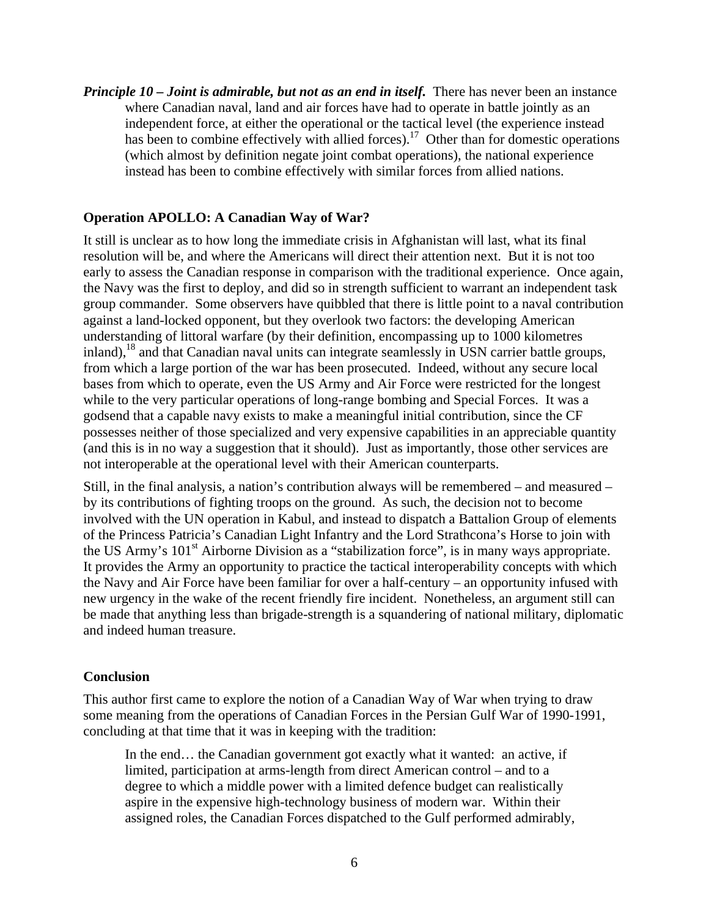*Principle 10 – Joint is admirable, but not as an end in itself.* There has never been an instance where Canadian naval, land and air forces have had to operate in battle jointly as an independent force, at either the operational or the tactical level (the experience instead has been to combine effectively with allied forces).<sup>17</sup> Other than for domestic operations (which almost by definition negate joint combat operations), the national experience instead has been to combine effectively with similar forces from allied nations.

#### **Operation APOLLO: A Canadian Way of War?**

It still is unclear as to how long the immediate crisis in Afghanistan will last, what its final resolution will be, and where the Americans will direct their attention next. But it is not too early to assess the Canadian response in comparison with the traditional experience. Once again, the Navy was the first to deploy, and did so in strength sufficient to warrant an independent task group commander. Some observers have quibbled that there is little point to a naval contribution against a land-locked opponent, but they overlook two factors: the developing American understanding of littoral warfare (by their definition, encompassing up to 1000 kilometres inland),<sup>18</sup> and that Canadian naval units can integrate seamlessly in USN carrier battle groups, from which a large portion of the war has been prosecuted. Indeed, without any secure local bases from which to operate, even the US Army and Air Force were restricted for the longest while to the very particular operations of long-range bombing and Special Forces. It was a godsend that a capable navy exists to make a meaningful initial contribution, since the CF possesses neither of those specialized and very expensive capabilities in an appreciable quantity (and this is in no way a suggestion that it should). Just as importantly, those other services are not interoperable at the operational level with their American counterparts.

Still, in the final analysis, a nation's contribution always will be remembered – and measured – by its contributions of fighting troops on the ground. As such, the decision not to become involved with the UN operation in Kabul, and instead to dispatch a Battalion Group of elements of the Princess Patricia's Canadian Light Infantry and the Lord Strathcona's Horse to join with the US Army's 101<sup>st</sup> Airborne Division as a "stabilization force", is in many ways appropriate. It provides the Army an opportunity to practice the tactical interoperability concepts with which the Navy and Air Force have been familiar for over a half-century – an opportunity infused with new urgency in the wake of the recent friendly fire incident. Nonetheless, an argument still can be made that anything less than brigade-strength is a squandering of national military, diplomatic and indeed human treasure.

#### **Conclusion**

This author first came to explore the notion of a Canadian Way of War when trying to draw some meaning from the operations of Canadian Forces in the Persian Gulf War of 1990-1991, concluding at that time that it was in keeping with the tradition:

In the end… the Canadian government got exactly what it wanted: an active, if limited, participation at arms-length from direct American control – and to a degree to which a middle power with a limited defence budget can realistically aspire in the expensive high-technology business of modern war. Within their assigned roles, the Canadian Forces dispatched to the Gulf performed admirably,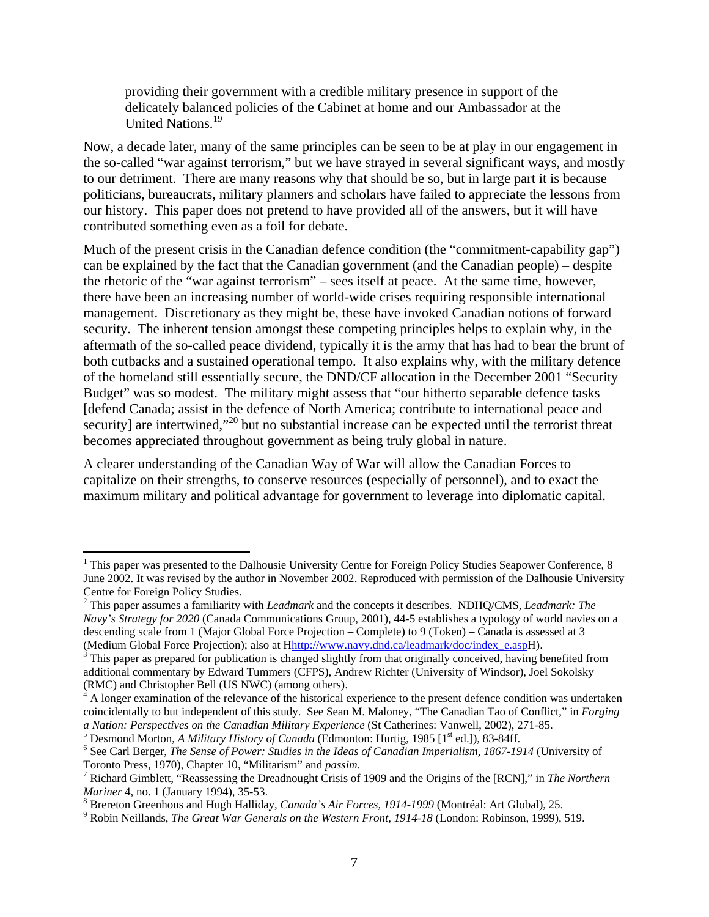providing their government with a credible military presence in support of the delicately balanced policies of the Cabinet at home and our Ambassador at the United Nations.<sup>19</sup>

Now, a decade later, many of the same principles can be seen to be at play in our engagement in the so-called "war against terrorism," but we have strayed in several significant ways, and mostly to our detriment. There are many reasons why that should be so, but in large part it is because politicians, bureaucrats, military planners and scholars have failed to appreciate the lessons from our history. This paper does not pretend to have provided all of the answers, but it will have contributed something even as a foil for debate.

Much of the present crisis in the Canadian defence condition (the "commitment-capability gap") can be explained by the fact that the Canadian government (and the Canadian people) – despite the rhetoric of the "war against terrorism" – sees itself at peace. At the same time, however, there have been an increasing number of world-wide crises requiring responsible international management. Discretionary as they might be, these have invoked Canadian notions of forward security. The inherent tension amongst these competing principles helps to explain why, in the aftermath of the so-called peace dividend, typically it is the army that has had to bear the brunt of both cutbacks and a sustained operational tempo. It also explains why, with the military defence of the homeland still essentially secure, the DND/CF allocation in the December 2001 "Security Budget" was so modest. The military might assess that "our hitherto separable defence tasks [defend Canada; assist in the defence of North America; contribute to international peace and security] are intertwined,"<sup>20</sup> but no substantial increase can be expected until the terrorist threat becomes appreciated throughout government as being truly global in nature.

A clearer understanding of the Canadian Way of War will allow the Canadian Forces to capitalize on their strengths, to conserve resources (especially of personnel), and to exact the maximum military and political advantage for government to leverage into diplomatic capital.

<sup>5</sup> Desmond Morton, *A Military History of Canada* (Edmonton: Hurtig, 1985 [1<sup>st</sup> ed.]), 83-84ff.

<u>.</u>

 $1$  This paper was presented to the Dalhousie University Centre for Foreign Policy Studies Seapower Conference, 8 June 2002. It was revised by the author in November 2002. Reproduced with permission of the Dalhousie University Centre for Foreign Policy Studies. 2

This paper assumes a familiarity with *Leadmark* and the concepts it describes. NDHQ/CMS, *Leadmark: The Navy's Strategy for 2020* (Canada Communications Group, 2001), 44-5 establishes a typology of world navies on a descending scale from 1 (Major Global Force Projection – Complete) to 9 (Token) – Canada is assessed at 3 (Medium Global Force Projection); also at Hhttp://www.navy.dnd.ca/leadmark/doc/index\_e.aspH).  $3$  This paper as prepared for publication is changed slightly from that originally conceived, having benefited from

additional commentary by Edward Tummers (CFPS), Andrew Richter (University of Windsor), Joel Sokolsky (RMC) and Christopher Bell (US NWC) (among others). 4

<sup>&</sup>lt;sup>4</sup> A longer examination of the relevance of the historical experience to the present defence condition was undertaken coincidentally to but independent of this study. See Sean M. Maloney, "The Canadian Tao of Conflict," in *Forging a Nation: Perspectives on the Canadian Military Experience* (St Catherines: Vanwell, 2002), 271-85.

See Carl Berger, *The Sense of Power: Studies in the Ideas of Canadian Imperialism, 1867-1914* (University of Toronto Press, 1970), Chapter 10, "Militarism" and *passim*. 7

<sup>&</sup>lt;sup>7</sup> Richard Gimblett, "Reassessing the Dreadnought Crisis of 1909 and the Origins of the [RCN]," in *The Northern Mariner* 4, no. 1 (January 1994), 35-53.

<sup>&</sup>lt;sup>8</sup> Brereton Greenhous and Hugh Halliday, *Canada's Air Forces, 1914-1999* (Montréal: Art Global), 25.

Robin Neillands, *The Great War Generals on the Western Front, 1914-18* (London: Robinson, 1999), 519.